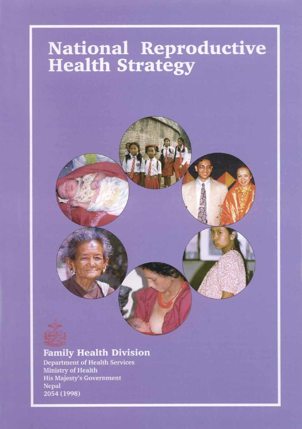# **National Reproductive<br>Health Strategy**

# **Family Health Division**

**Department of Health Services** Ministry of Health **His Majesty's Government Nepal** 2054 (1998)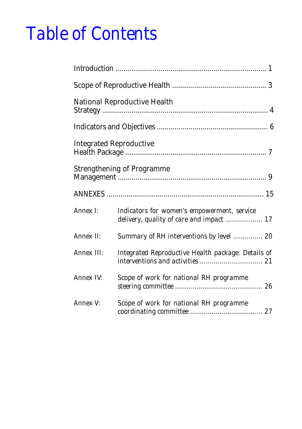# *Table of Contents*

|            | <b>National Reproductive Health</b>                                                     |
|------------|-----------------------------------------------------------------------------------------|
|            |                                                                                         |
|            | <b>Integrated Reproductive</b>                                                          |
|            | <b>Strengthening of Programme</b>                                                       |
|            |                                                                                         |
| Annex I:   | Indicators for women's empowerment, service<br>delivery, quality of care and impact  17 |
| Annex II:  | Summary of RH interventions by level  20                                                |
| Annex III: | Integrated Reproductive Health package: Details of                                      |
| Annex IV:  | Scope of work for national RH programme                                                 |
| Annex V:   | Scope of work for national RH programme                                                 |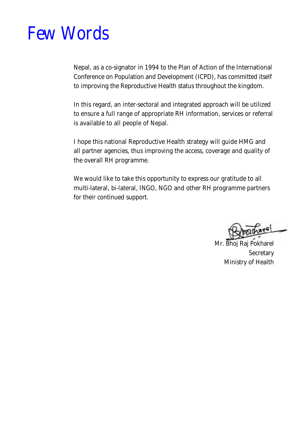# *Few Words*

Nepal, as a co-signator in 1994 to the Plan of Action of the International Conference on Population and Development (ICPD), has committed itself to improving the Reproductive Health status throughout the kingdom.

In this regard, an inter-sectoral and integrated approach will be utilized to ensure a full range of appropriate RH information, services or referral is available to all people of Nepal.

I hope this national Reproductive Health strategy will guide HMG and all partner agencies, thus improving the access, coverage and quality of the overall RH programme.

We would like to take this opportunity to express our gratitude to all multi-lateral, bi-lateral, INGO, NGO and other RH programme partners for their continued support.

اء۔

Mr. Bhoj Raj Pokharel **Secretary** Ministry of Health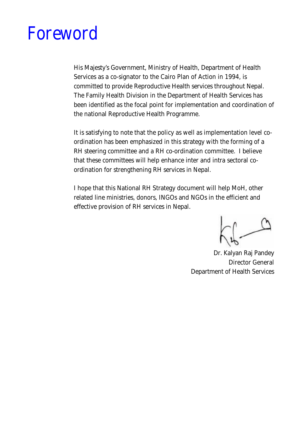# *Foreword*

His Majesty's Government, Ministry of Health, Department of Health Services as a co-signator to the Cairo Plan of Action in 1994, is committed to provide Reproductive Health services throughout Nepal. The Family Health Division in the Department of Health Services has been identified as the focal point for implementation and coordination of the national Reproductive Health Programme.

It is satisfying to note that the policy as well as implementation level coordination has been emphasized in this strategy with the forming of a RH steering committee and a RH co-ordination committee. I believe that these committees will help enhance inter and intra sectoral coordination for strengthening RH services in Nepal.

I hope that this National RH Strategy document will help MoH, other related line ministries, donors, INGOs and NGOs in the efficient and effective provision of RH services in Nepal.

Dr. Kalyan Raj Pandey Director General Department of Health Services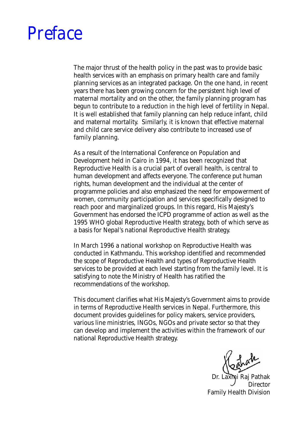

The major thrust of the health policy in the past was to provide basic health services with an emphasis on primary health care and family planning services as an integrated package. On the one hand, in recent years there has been growing concern for the persistent high level of maternal mortality and on the other, the family planning program has begun to contribute to a reduction in the high level of fertility in Nepal. It is well established that family planning can help reduce infant, child and maternal mortality. Similarly, it is known that effective maternal and child care service delivery also contribute to increased use of family planning.

As a result of the International Conference on Population and Development held in Cairo in 1994, it has been recognized that Reproductive Health is a crucial part of overall health, is central to human development and affects everyone. The conference put human rights, human development and the individual at the center of programme policies and also emphasized the need for empowerment of women, community participation and services specifically designed to reach poor and marginalized groups. In this regard, His Majesty's Government has endorsed the ICPD programme of action as well as the 1995 WHO global Reproductive Health strategy, both of which serve as a basis for Nepal's national Reproductive Health strategy.

In March 1996 a national workshop on Reproductive Health was conducted in Kathmandu. This workshop identified and recommended the scope of Reproductive Health and types of Reproductive Health services to be provided at each level starting from the family level. It is satisfying to note the Ministry of Health has ratified the recommendations of the workshop.

This document clarifies what His Majesty's Government aims to provide in terms of Reproductive Health services in Nepal. Furthermore, this document provides guidelines for policy makers, service providers, various line ministries, INGOs, NGOs and private sector so that they can develop and implement the activities within the framework of our national Reproductive Health strategy.

Dr. Laxmi Raj Pathak Director Family Health Division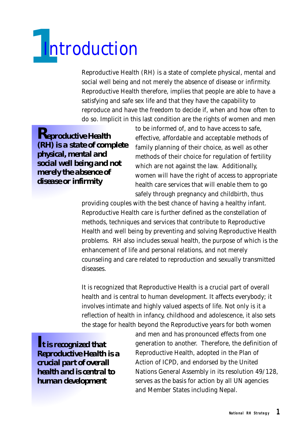<span id="page-5-0"></span>

Reproductive Health (RH) is a state of complete physical, mental and social well being and not merely the absence of disease or infirmity. Reproductive Health therefore, implies that people are able to have a satisfying and safe sex life and that they have the capability to reproduce and have the freedom to decide if, when and how often to do so. Implicit in this last condition are the rights of women and men

*Reproductive Health (RH) is a state of complete physical, mental and social well being and not merely the absence of disease or infirmity*

to be informed of, and to have access to safe, effective, affordable and acceptable methods of family planning of their choice, as well as other methods of their choice for regulation of fertility which are not against the law. Additionally, women will have the right of access to appropriate health care services that will enable them to go safely through pregnancy and childbirth, thus

providing couples with the best chance of having a healthy infant. Reproductive Health care is further defined as the constellation of methods, techniques and services that contribute to Reproductive Health and well being by preventing and solving Reproductive Health problems. RH also includes sexual health, the purpose of which is the enhancement of life and personal relations, and not merely counseling and care related to reproduction and sexually transmitted diseases.

It is recognized that Reproductive Health is a crucial part of overall health and is central to human development. It affects everybody; it involves intimate and highly valued aspects of life. Not only is it a reflection of health in infancy, childhood and adolescence, it also sets the stage for health beyond the Reproductive years for both women

*It is recognized that Reproductive Health is a crucial part of overall health and is central to human development*

and men and has pronounced effects from one generation to another. Therefore, the definition of Reproductive Health, adopted in the Plan of Action of ICPD, and endorsed by the United Nations General Assembly in its resolution 49/128, serves as the basis for action by all UN agencies and Member States including Nepal.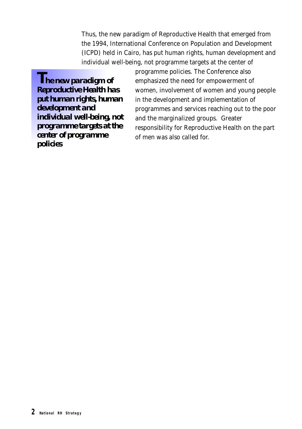Thus, the new paradigm of Reproductive Health that emerged from the 1994, International Conference on Population and Development (ICPD) held in Cairo, has put human rights, human development and individual well-being, not programme targets at the center of

*The new paradigm of Reproductive Health has put human rights, human development and individual well-being, not programme targets at the center of programme policies*

programme policies. The Conference also emphasized the need for empowerment of women, involvement of women and young people in the development and implementation of programmes and services reaching out to the poor and the marginalized groups. Greater responsibility for Reproductive Health on the part of men was also called for.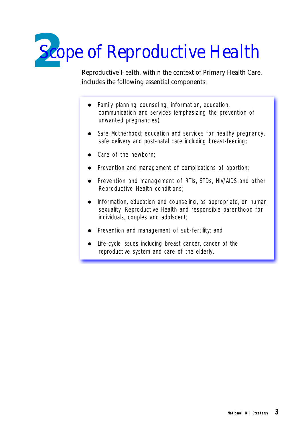<span id="page-7-0"></span>

Reproductive Health, within the context of Primary Health Care, includes the following essential components:

- Family planning counseling, information, education, communication and services (emphasizing the prevention of unwanted pregnancies);
- Safe Motherhood; education and services for healthy pregnancy, safe delivery and post-natal care including breast-feeding;
- Care of the newborn:
- Prevention and management of complications of abortion;
- Prevention and management of RTIs, STDs, HIV/AIDS and other Reproductive Health conditions;
- Information, education and counseling, as appropriate, on human sexuality, Reproductive Health and responsible parenthood for individuals, couples and adolscent;
- Prevention and management of sub-fertility; and
- Life-cycle issues including breast cancer, cancer of the reproductive system and care of the elderly.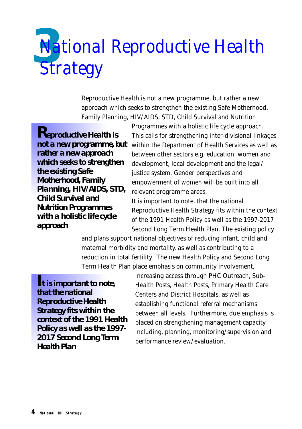# <span id="page-8-0"></span>**Na** *National Reproductive Health Strategy*

Reproductive Health is not a new programme, but rather a new approach which seeks to strengthen the existing Safe Motherhood, Family Planning, HIV/AIDS, STD, Child Survival and Nutrition

*Reproductive Health is rather a new approach which seeks to strengthen the existing Safe Motherhood, Family Planning, HIV/AIDS, STD, Child Survival and Nutrition Programmes with a holistic life cycle approach*

Programmes with a holistic life cycle approach. This calls for strengthening inter-divisional linkages **not a new programme, but** within the Department of Health Services as well as between other sectors e.g. education, women and development, local development and the legal/ justice system. Gender perspectives and empowerment of women will be built into all relevant programme areas.

> It is important to note, that the national Reproductive Health Strategy fits within the context of the 1991 Health Policy as well as the 1997-2017 Second Long Term Health Plan. The existing policy

and plans support national objectives of reducing infant, child and maternal morbidity and mortality, as well as contributing to a reduction in total fertility. The new Health Policy and Second Long Term Health Plan place emphasis on community involvement,

*It is important to note, that the national Reproductive Health Strategy fits within the context of the 1991 Health Policy as well as the 1997- 2017 Second Long Term Health Plan*

increasing access through PHC Outreach, Sub-Health Posts, Health Posts, Primary Health Care Centers and District Hospitals, as well as establishing functional referral mechanisms between all levels. Furthermore, due emphasis is placed on strengthening management capacity including, planning, monitoring/supervision and performance review/evaluation.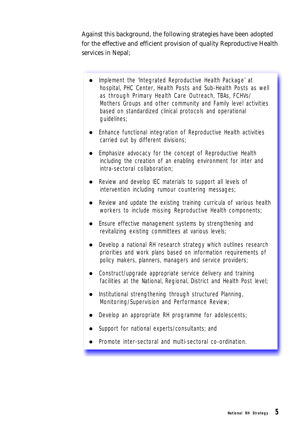Against this background, the following strategies have been adopted for the effective and efficient provision of quality Reproductive Health services in Nepal;

- Implement the 'Integrated Reproductive Health Package' at hospital, PHC Center, Health Posts and Sub-Health Posts as well as through Primary Health Care Outreach, TBAs, FCHVs/ Mothers Groups and other community and Family level activities based on standardized clinical protocols and operational guidelines;
- Enhance functional integration of Reproductive Health activities carried out by different divisions;
- Emphasize advocacy for the concept of Reproductive Health including the creation of an enabling environment for inter and intra-sectoral collaboration;
- Review and develop IEC materials to support all levels of intervention including rumour countering messages;
- $\bullet$  Review and update the existing training curricula of various health workers to include missing Reproductive Health components;
- Ensure effective management systems by strengthening and revitalizing existing committees at various levels;
- Develop a national RH research strategy which outlines research priorities and work plans based on information requirements of policy makers, planners, managers and service providers;
- Construct/upgrade appropriate service delivery and training facilities at the National, Regional, District and Health Post level;
- $\bullet$  Institutional strengthening through structured Planning, Monitoring/Supervision and Performance Review;
- Develop an appropriate RH programme for adolescents;
- Support for national experts/consultants; and
- Promote inter-sectoral and multi-sectoral co-ordination.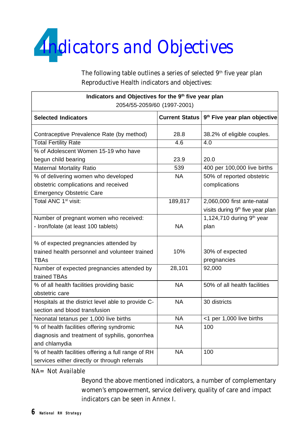<span id="page-10-0"></span>

The following table outlines a series of selected 9<sup>th</sup> five year plan Reproductive Health indicators and objectives:

| Indicators and Objectives for the 9th five year plan<br>2054/55-2059/60 (1997-2001) |                       |                                          |
|-------------------------------------------------------------------------------------|-----------------------|------------------------------------------|
| <b>Selected Indicators</b>                                                          | <b>Current Status</b> | 9 <sup>th</sup> Five year plan objective |
| Contraceptive Prevalence Rate (by method)                                           | 28.8                  | 38.2% of eligible couples.               |
| <b>Total Fertility Rate</b>                                                         | 4.6                   | 4.0                                      |
| % of Adolescent Women 15-19 who have                                                |                       |                                          |
| begun child bearing                                                                 | 23.9                  | 20.0                                     |
| Maternal Mortality Ratio                                                            | 539                   | 400 per 100,000 live births              |
| % of delivering women who developed                                                 | <b>NA</b>             | 50% of reported obstetric                |
| obstetric complications and received                                                |                       | complications                            |
| <b>Emergency Obstetric Care</b>                                                     |                       |                                          |
| Total ANC 1 <sup>st</sup> visit:                                                    | 189,817               | 2,060,000 first ante-natal               |
|                                                                                     |                       | visits during 9th five year plan         |
| Number of pregnant women who received:                                              |                       | 1,124,710 during 9th year                |
| - Iron/folate (at least 100 tablets)                                                | <b>NA</b>             | plan                                     |
| % of expected pregnancies attended by                                               |                       |                                          |
| trained health personnel and volunteer trained                                      | 10%                   | 30% of expected                          |
| <b>TBAs</b>                                                                         |                       | pregnancies                              |
| Number of expected pregnancies attended by                                          | 28,101                | 92,000                                   |
| trained TBAs                                                                        |                       |                                          |
| % of all health facilities providing basic                                          | <b>NA</b>             | 50% of all health facilities             |
| obstetric care                                                                      |                       |                                          |
| Hospitals at the district level able to provide C-                                  | <b>NA</b>             | 30 districts                             |
| section and blood transfusion                                                       |                       |                                          |
| Neonatal tetanus per 1,000 live births                                              | <b>NA</b>             | <1 per 1,000 live births                 |
| % of health facilities offering syndromic                                           | <b>NA</b>             | 100                                      |
| diagnosis and treatment of syphilis, gonorrhea                                      |                       |                                          |
| and chlamydia                                                                       |                       |                                          |
| % of health facilities offering a full range of RH                                  | <b>NA</b>             | 100                                      |
| services either directly or through referrals                                       |                       |                                          |

*NA= Not Available*

Beyond the above mentioned indicators, a number of complementary women's empowerment, service delivery, quality of care and impact indicators can be seen in Annex I.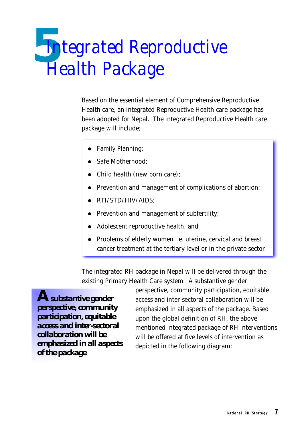# <span id="page-11-0"></span>*5 Integrated Reproductive Health Package*

Based on the essential element of Comprehensive Reproductive Health care, an integrated Reproductive Health care package has been adopted for Nepal. The integrated Reproductive Health care package will include;

- Family Planning;
- Safe Motherhood:
- Child health (new born care);
- Prevention and management of complications of abortion;
- RTI/STD/HIV/AIDS;
- Prevention and management of subfertility;
- l Adolescent reproductive health; and
- Problems of elderly women i.e. uterine, cervical and breast cancer treatment at the tertiary level or in the private sector.

The integrated RH package in Nepal will be delivered through the existing Primary Health Care system. A substantive gender

*Asubstantive gender perspective, community participation, equitable access and inter-sectoral collaboration will be emphasized in all aspects of the package*

perspective, community participation, equitable access and inter-sectoral collaboration will be emphasized in all aspects of the package. Based upon the global definition of RH, the above mentioned integrated package of RH interventions will be offered at five levels of intervention as depicted in the following diagram: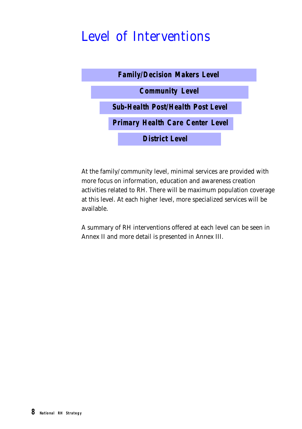# *Level of Interventions*



At the family/community level, minimal services are provided with more focus on information, education and awareness creation activities related to RH. There will be maximum population coverage at this level. At each higher level, more specialized services will be available.

A summary of RH interventions offered at each level can be seen in Annex II and more detail is presented in Annex III.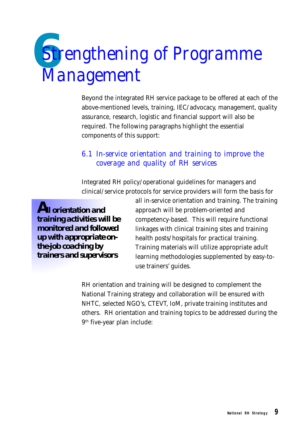# <span id="page-13-0"></span>*6Strengthening of Programme Management*

Beyond the integrated RH service package to be offered at each of the above-mentioned levels, training, IEC/advocacy, management, quality assurance, research, logistic and financial support will also be required. The following paragraphs highlight the essential components of this support:

# *6.1 In-service orientation and training to improve the coverage and quality of RH services*

Integrated RH policy/operational guidelines for managers and clinical/service protocols for service providers will form the basis for

*All orientation and training activities will be monitored and followed up with appropriate onthe-job coaching by trainers and supervisors*

all in-service orientation and training. The training approach will be problem-oriented and competency-based. This will require functional linkages with clinical training sites and training health posts/hospitals for practical training. Training materials will utilize appropriate adult learning methodologies supplemented by easy-touse trainers' guides.

RH orientation and training will be designed to complement the National Training strategy and collaboration will be ensured with NHTC, selected NGO's, CTEVT, IoM, private training institutes and others. RH orientation and training topics to be addressed during the 9 th five-year plan include: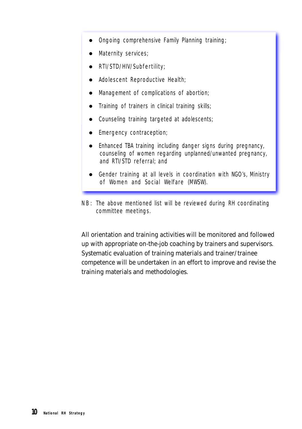- Ongoing comprehensive Family Planning training;
- **•** Maternity services;
- RTI/STD/HIV/Subfertility;
- Adolescent Reproductive Health;
- Management of complications of abortion;
- Training of trainers in clinical training skills;
- Counseling training targeted at adolescents;
- **Emergency contraception;**
- Enhanced TBA training including danger signs during pregnancy, counseling of women regarding unplanned/unwanted pregnancy, and RTI/STD referral; and
- Gender training at all levels in coordination with NGO's, Ministry of Women and Social Welfare (MWSW).
- NB: The above mentioned list will be reviewed during RH coordinating committee meetings.

All orientation and training activities will be monitored and followed up with appropriate on-the-job coaching by trainers and supervisors. Systematic evaluation of training materials and trainer/trainee competence will be undertaken in an effort to improve and revise the training materials and methodologies.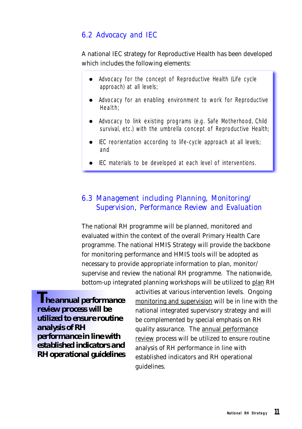# *6.2 Advocacy and IEC*

## A national IEC strategy for Reproductive Health has been developed which includes the following elements:

- Advocacy for the concept of Reproductive Health (Life cycle approach) at all levels;
- Advocacy for an enabling environment to work for Reproductive Health;
- Advocacy to link existing programs (e.g. Safe Motherhood, Child survival, etc.) with the umbrella concept of Reproductive Health;
- $\bullet$  IEC reorientation according to life-cycle approach at all levels; and
- IEC materials to be developed at each level of interventions.

# *6.3 Management including Planning, Monitoring/ Supervision, Performance Review and Evaluation*

The national RH programme will be planned, monitored and evaluated within the context of the overall Primary Health Care programme. The national HMIS Strategy will provide the backbone for monitoring performance and HMIS tools will be adopted as necessary to provide appropriate information to plan, monitor/ supervise and review the national RH programme. The nationwide, bottom-up integrated planning workshops will be utilized to plan RH

*The annual performance review process will be utilized to ensure routine analysis of RH performance in line with established indicators and RH operational guidelines*

activities at various intervention levels. Ongoing monitoring and supervision will be in line with the national integrated supervisory strategy and will be complemented by special emphasis on RH quality assurance. The annual performance review process will be utilized to ensure routine analysis of RH performance in line with established indicators and RH operational guidelines.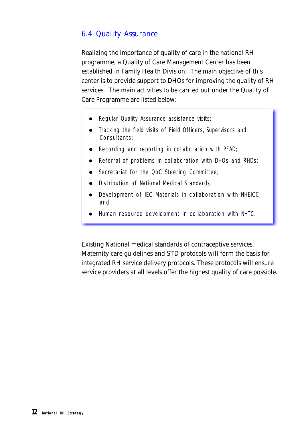# *6.4 Quality Assurance*

Realizing the importance of quality of care in the national RH programme, a Quality of Care Management Center has been established in Family Health Division. The main objective of this center is to provide support to DHOs for improving the quality of RH services. The main activities to be carried out under the Quality of Care Programme are listed below:

- Regular Quality Assurance assistance visits;
- Tracking the field visits of Field Officers, Supervisors and Consultants;
- $\bullet$  Recording and reporting in collaboration with PFAD;
- $\bullet$  Referral of problems in collaboration with DHOs and RHDs;
- **.** Secretariat for the QoC Steering Committee;
- Distribution of National Medical Standards;
- $\bullet$  Development of IEC Materials in collaboration with NHEICC; and
- l Human resource development in collaboration with NHTC.

Existing National medical standards of contraceptive services, Maternity care guidelines and STD protocols will form the basis for integrated RH service delivery protocols. These protocols will ensure service providers at all levels offer the highest quality of care possible.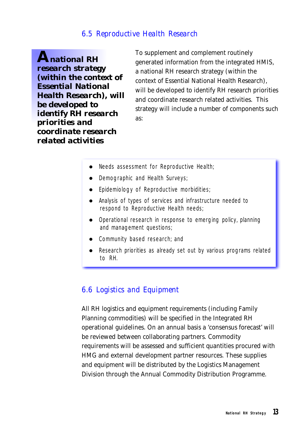## *6.5 Reproductive Health Research*

*A national RH research strategy (within the context of Essential National Health Research), will be developed to identify RH research priorities and coordinate research related activities*

To supplement and complement routinely generated information from the integrated HMIS, a national RH research strategy (within the context of Essential National Health Research), will be developed to identify RH research priorities and coordinate research related activities. This strategy will include a number of components such as:

- Needs assessment for Reproductive Health;
- Demographic and Health Surveys;
- $\bullet$  Epidemiology of Reproductive morbidities;
- Analysis of types of services and infrastructure needed to respond to Reproductive Health needs;
- Operational research in response to emerging policy, planning and management questions;
- Community based research; and
- Research priorities as already set out by various programs related to RH.

## *6.6 Logistics and Equipment*

All RH logistics and equipment requirements (including Family Planning commodities) will be specified in the Integrated RH operational guidelines. On an annual basis a 'consensus forecast' will be reviewed between collaborating partners. Commodity requirements will be assessed and sufficient quantities procured with HMG and external development partner resources. These supplies and equipment will be distributed by the Logistics Management Division through the Annual Commodity Distribution Programme.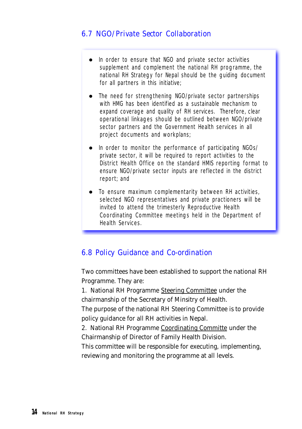# *6.7 NGO/Private Sector Collaboration*

- In order to ensure that NGO and private sector activities supplement and complement the national RH programme, the national RH Strategy for Nepal should be the guiding document for all partners in this initiative;
- The need for strengthening NGO/private sector partnerships with HMG has been identified as a sustainable mechanism to expand coverage and quality of RH services. Therefore, clear operational linkages should be outlined between NGO/private sector partners and the Government Health services in all project documents and workplans;
- In order to monitor the performance of participating NGOs/ private sector, it will be required to report activities to the District Health Office on the standard HMIS reporting format to ensure NGO/private sector inputs are reflected in the district report; and
- To ensure maximum complementarity between RH activities, selected NGO representatives and private practioners will be invited to attend the trimesterly Reproductive Health Coordinating Committee meetings held in the Department of Health Services.

# *6.8 Policy Guidance and Co-ordination*

Two committees have been established to support the national RH Programme. They are:

1. National RH Programme Steering Committee under the chairmanship of the Secretary of Minsitry of Health.

The purpose of the national RH Steering Committee is to provide policy guidance for all RH activities in Nepal.

2. National RH Programme Coordinating Committe under the Chairmanship of Director of Family Health Division.

This committee will be responsible for executing, implementing, reviewing and monitoring the programme at all levels.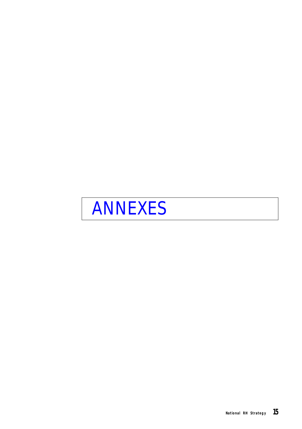<span id="page-19-0"></span>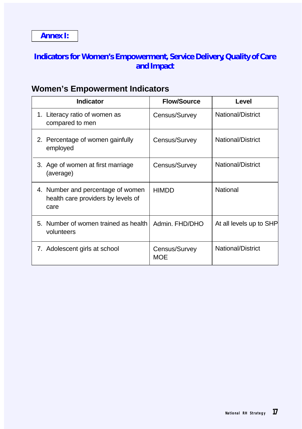# <span id="page-21-0"></span>**Indicators for Women's Empowerment, Service Delivery, Quality of Care and Impact**

# **Women's Empowerment Indicators**

| <b>Indicator</b>                                                                | <b>Flow/Source</b>   | Level                   |
|---------------------------------------------------------------------------------|----------------------|-------------------------|
| 1. Literacy ratio of women as<br>compared to men                                | Census/Survey        | National/District       |
| 2. Percentage of women gainfully<br>employed                                    | Census/Survey        | National/District       |
| 3. Age of women at first marriage<br>(average)                                  | Census/Survey        | National/District       |
| 4. Number and percentage of women<br>health care providers by levels of<br>care | <b>HIMDD</b>         | National                |
| 5. Number of women trained as health<br>volunteers                              | Admin. FHD/DHO       | At all levels up to SHP |
| 7. Adolescent girls at school                                                   | Census/Survey<br>MOE | National/District       |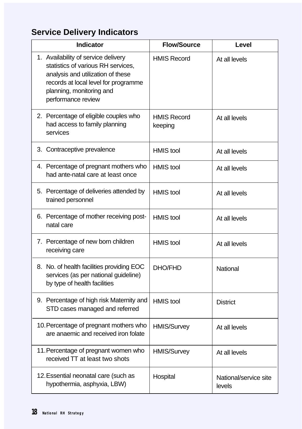# **Service Delivery Indicators**

| <b>Indicator</b>                                                                                                                                                                                         | <b>Flow/Source</b>            | Level                           |
|----------------------------------------------------------------------------------------------------------------------------------------------------------------------------------------------------------|-------------------------------|---------------------------------|
| 1. Availability of service delivery<br>statistics of various RH services,<br>analysis and utilization of these<br>records at local level for programme<br>planning, monitoring and<br>performance review | <b>HMIS Record</b>            | At all levels                   |
| 2. Percentage of eligible couples who<br>had access to family planning<br>services                                                                                                                       | <b>HMIS Record</b><br>keeping | At all levels                   |
| 3. Contraceptive prevalence                                                                                                                                                                              | <b>HMIS</b> tool              | At all levels                   |
| 4. Percentage of pregnant mothers who<br>had ante-natal care at least once                                                                                                                               | <b>HMIS</b> tool              | At all levels                   |
| 5. Percentage of deliveries attended by<br>trained personnel                                                                                                                                             | <b>HMIS</b> tool              | At all levels                   |
| 6. Percentage of mother receiving post-<br>natal care                                                                                                                                                    | <b>HMIS</b> tool              | At all levels                   |
| 7. Percentage of new born children<br>receiving care                                                                                                                                                     | <b>HMIS</b> tool              | At all levels                   |
| 8. No. of health facilities providing EOC<br>services (as per national guideline)<br>by type of health facilities                                                                                        | DHO/FHD                       | National                        |
| 9. Percentage of high risk Maternity and<br>STD cases managed and referred                                                                                                                               | <b>HMIS</b> tool              | <b>District</b>                 |
| 10. Percentage of pregnant mothers who<br>are anaemic and received iron folate                                                                                                                           | HMIS/Survey                   | At all levels                   |
| 11. Percentage of pregnant women who<br>received TT at least two shots                                                                                                                                   | <b>HMIS/Survey</b>            | At all levels                   |
| 12. Essential neonatal care (such as<br>hypothermia, asphyxia, LBW)                                                                                                                                      | Hospital                      | National/service site<br>levels |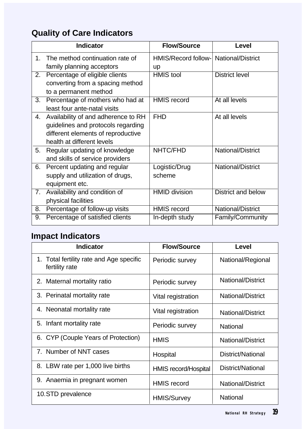# **Quality of Care Indicators**

|    | <b>Indicator</b>                                                                                                                              | <b>Flow/Source</b>                    | Level                    |
|----|-----------------------------------------------------------------------------------------------------------------------------------------------|---------------------------------------|--------------------------|
| 1. | The method continuation rate of<br>family planning acceptors                                                                                  | HMIS/Record follow- National/District |                          |
| 2. | Percentage of eligible clients<br>converting from a spacing method<br>to a permanent method                                                   | up<br><b>HMIS</b> tool                | <b>District level</b>    |
| 3. | Percentage of mothers who had at<br>least four ante-natal visits                                                                              | <b>HMIS</b> record                    | At all levels            |
| 4. | Availability of and adherence to RH<br>guidelines and protocols regarding<br>different elements of reproductive<br>health at different levels | <b>FHD</b>                            | At all levels            |
| 5. | Regular updating of knowledge<br>and skills of service providers                                                                              | NHTC/FHD                              | <b>National/District</b> |
| 6. | Percent updating and regular<br>supply and utilization of drugs,<br>equipment etc.                                                            | Logistic/Drug<br>scheme               | National/District        |
| 7. | Availability and condition of<br>physical facilities                                                                                          | <b>HMID division</b>                  | District and below       |
| 8. | Percentage of follow-up visits                                                                                                                | <b>HMIS</b> record                    | National/District        |
| 9. | Percentage of satisfied clients                                                                                                               | In-depth study                        | Family/Community         |

# **Impact Indicators**

| <b>Indicator</b>                                           | <b>Flow/Source</b>   | Level             |
|------------------------------------------------------------|----------------------|-------------------|
| 1. Total fertility rate and Age specific<br>fertility rate | Periodic survey      | National/Regional |
| 2. Maternal mortality ratio                                | Periodic survey      | National/District |
| 3. Perinatal mortality rate                                | Vital registration   | National/District |
| 4. Neonatal mortality rate                                 | Vital registration   | National/District |
| 5. Infant mortality rate                                   | Periodic survey      | National          |
| 6. CYP (Couple Years of Protection)                        | <b>HMIS</b>          | National/District |
| 7. Number of NNT cases                                     | Hospital             | District/National |
| 8. LBW rate per 1,000 live births                          | HMIS record/Hospital | District/National |
| 9. Anaemia in pregnant women                               | <b>HMIS</b> record   | National/District |
| 10.STD prevalence                                          | <b>HMIS/Survey</b>   | National          |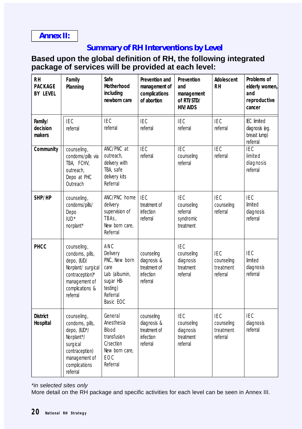# <span id="page-24-0"></span>**Annex II:**

# **Summary of RH Interventions by Level**

## **Based upon the global definition of RH, the following integrated package of services will be provided at each level:**

| RН<br><b>PACKAGE</b><br><b>BY LEVEL</b> | Family<br>Planning                                                                                                                       | Safe<br>Motherhood<br>including<br>newborn care                                                             | Prevention and<br>management of<br>complications<br>of abortion           | Prevention<br>and<br>management<br>of RTI/STD/<br><b>HIV/AIDS</b> | Adolescent<br><b>RH</b>                           | Problems of<br>elderly women,<br>and<br>reproductive<br>cancer   |
|-----------------------------------------|------------------------------------------------------------------------------------------------------------------------------------------|-------------------------------------------------------------------------------------------------------------|---------------------------------------------------------------------------|-------------------------------------------------------------------|---------------------------------------------------|------------------------------------------------------------------|
| Family/<br>decision<br>makers           | <b>IEC</b><br>referral                                                                                                                   | <b>IEC</b><br>referral                                                                                      | <b>IEC</b><br>referral                                                    | <b>IEC</b><br>referral                                            | <b>IEC</b><br>referral                            | <b>IEC</b> limited<br>diagnosis (eg.<br>breast lump)<br>referral |
| Community                               | counseling,<br>condoms/pills via<br>TBA, FCHV,<br>outreach,<br>Depo at PHC<br>Outreach                                                   | ANC/PNC at<br>outreach,<br>delivery with<br>TBA, safe<br>delivery kits<br>Referral                          | <b>IEC</b><br>referral                                                    | IEC<br>counseling<br>referral                                     | IEC<br>referral                                   | <b>IEC</b><br>limited<br>diagnosis<br>referral                   |
| SHP/HP                                  | counseling,<br>condoms/pills/<br>Depo<br>$IUD*$<br>norplant*                                                                             | ANC/PNC home<br>delivery<br>supervision of<br>TBAS,<br>New born care,<br>Referral                           | <b>IEC</b><br>treatment of<br>infection<br>referral                       | <b>IEC</b><br>counseling<br>referral<br>syndromic<br>treatment    | <b>IEC</b><br>counseling<br>referral              | <b>IEC</b><br>limited<br>diagnosis<br>referral                   |
| PHCC                                    | counseling,<br>condoms, pills,<br>depo, (IUD/<br>Norplant/ surgical<br>contraception)*<br>management of<br>complications &<br>referral   | ANC<br>Delivery<br>PNC, New born<br>care<br>Lab (albumin,<br>sugar HB-<br>testing)<br>Referral<br>Basic EOC | counseling<br>diagnosis &<br>treatment of<br><b>infection</b><br>referral | <b>IEC</b><br>counseling<br>diagnosis<br>treatment<br>referral    | IE C<br>counseling<br>treatment<br>referral       | <b>IEC</b><br>limited<br>diagnosis<br>referral                   |
| <b>District</b><br>Hospital             | counseling,<br>condoms, pills,<br>depo, (IUD*/<br>Norplant*/<br>surgical<br>contraception)<br>management of<br>complications<br>referral | General<br>Anesthesia<br>Blood<br>transfusion<br>C/section<br>New born care,<br>EOC<br>Referral             | counseling<br>diagnosis &<br>treatment of<br>infection<br>referral        | <b>IEC</b><br>counseling<br>diagnosis<br>treatment<br>referral    | <b>IEC</b><br>counseling<br>treatment<br>referral | <b>IEC</b><br>diagnosis<br>referral                              |

*\*in selected sites only*

More detail on the RH package and specific activities for each level can be seen in Annex III.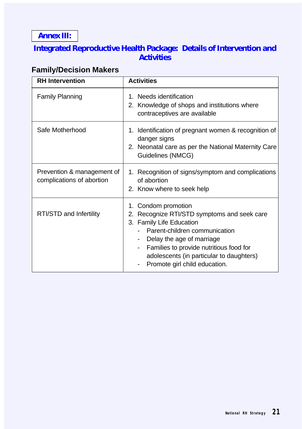<span id="page-25-0"></span>**Annex III:**

# **Integrated Reproductive Health Package: Details of Intervention and Activities**

# **Family/Decision Makers**

| <b>RH</b> Intervention                                  | <b>Activities</b>                                                                                                                                                                                                                                                                       |
|---------------------------------------------------------|-----------------------------------------------------------------------------------------------------------------------------------------------------------------------------------------------------------------------------------------------------------------------------------------|
| <b>Family Planning</b>                                  | 1. Needs identification<br>2. Knowledge of shops and institutions where<br>contraceptives are available                                                                                                                                                                                 |
| Safe Motherhood                                         | 1. Identification of pregnant women & recognition of<br>danger signs<br>2. Neonatal care as per the National Maternity Care<br>Guidelines (NMCG)                                                                                                                                        |
| Prevention & management of<br>complications of abortion | 1. Recognition of signs/symptom and complications<br>of abortion<br>2. Know where to seek help                                                                                                                                                                                          |
| RTI/STD and Infertility                                 | 1. Condom promotion<br>Recognize RTI/STD symptoms and seek care<br>2.<br>3. Family Life Education<br>Parent-children communication<br>Delay the age of marriage<br>Families to provide nutritious food for<br>adolescents (in particular to daughters)<br>Promote girl child education. |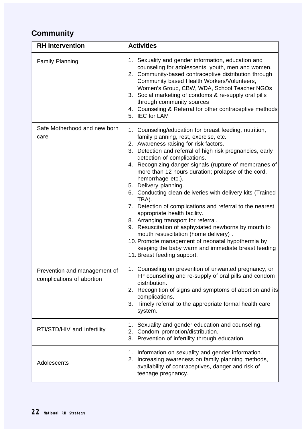# **Community**

| <b>RH</b> Intervention                                    | <b>Activities</b>                                                                                                                                                                                                                                                                                                                                                                                                                                                                                                                                                                                                                                                                                                                                                                                                                                         |
|-----------------------------------------------------------|-----------------------------------------------------------------------------------------------------------------------------------------------------------------------------------------------------------------------------------------------------------------------------------------------------------------------------------------------------------------------------------------------------------------------------------------------------------------------------------------------------------------------------------------------------------------------------------------------------------------------------------------------------------------------------------------------------------------------------------------------------------------------------------------------------------------------------------------------------------|
| <b>Family Planning</b>                                    | 1. Sexuality and gender information, education and<br>counseling for adolescents, youth, men and women.<br>2. Community-based contraceptive distribution through<br>Community based Health Workers/Volunteers,<br>Women's Group, CBW, WDA, School Teacher NGOs<br>3. Social marketing of condoms & re-supply oral pills<br>through community sources<br>4. Counseling & Referral for other contraceptive methods<br>5. IEC for LAM                                                                                                                                                                                                                                                                                                                                                                                                                        |
| Safe Motherhood and new born<br>care                      | 1. Counseling/education for breast feeding, nutrition,<br>family planning, rest, exercise, etc.<br>2. Awareness raising for risk factors.<br>3. Detection and referral of high risk pregnancies, early<br>detection of complications.<br>4. Recognizing danger signals (rupture of membranes of<br>more than 12 hours duration; prolapse of the cord,<br>hemorrhage etc.).<br>5. Delivery planning.<br>6. Conducting clean deliveries with delivery kits (Trained<br>TBA).<br>7. Detection of complications and referral to the nearest<br>appropriate health facility.<br>8. Arranging transport for referral.<br>9. Resuscitation of asphyxiated newborns by mouth to<br>mouth resuscitation (home delivery).<br>10. Promote management of neonatal hypothermia by<br>keeping the baby warm and immediate breast feeding<br>11. Breast feeding support. |
| Prevention and management of<br>complications of abortion | 1. Counseling on prevention of unwanted pregnancy, or<br>FP counseling and re-supply of oral pills and condom<br>distribution.<br>2. Recognition of signs and symptoms of abortion and its<br>complications.<br>3. Timely referral to the appropriate formal health care<br>system.                                                                                                                                                                                                                                                                                                                                                                                                                                                                                                                                                                       |
| RTI/STD/HIV and Infertility                               | 1. Sexuality and gender education and counseling.<br>2. Condom promotion/distribution.<br>3. Prevention of infertility through education.                                                                                                                                                                                                                                                                                                                                                                                                                                                                                                                                                                                                                                                                                                                 |
| Adolescents                                               | 1. Information on sexuality and gender information.<br>2. Increasing awareness on family planning methods,<br>availability of contraceptives, danger and risk of<br>teenage pregnancy.                                                                                                                                                                                                                                                                                                                                                                                                                                                                                                                                                                                                                                                                    |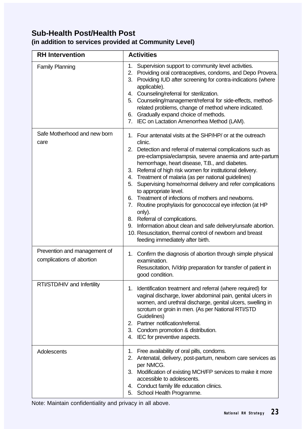# **Sub-Health Post/Health Post**

## **(in addition to services provided at Community Level)**

| <b>RH</b> Intervention                                    | <b>Activities</b>                                                                                                                                                                                                                                                                                                                                                                                                                                                                                                                                                                                                                                                                                                                                                                                         |  |  |
|-----------------------------------------------------------|-----------------------------------------------------------------------------------------------------------------------------------------------------------------------------------------------------------------------------------------------------------------------------------------------------------------------------------------------------------------------------------------------------------------------------------------------------------------------------------------------------------------------------------------------------------------------------------------------------------------------------------------------------------------------------------------------------------------------------------------------------------------------------------------------------------|--|--|
| <b>Family Planning</b>                                    | 1.<br>Supervision support to community level activities.<br>2. Providing oral contraceptives, condoms, and Depo Provera.<br>3. Providing IUD after screening for contra-indications (where<br>applicable).<br>4. Counseling/referral for sterilization.<br>5. Counseling/management/referral for side-effects, method-<br>related problems, change of method where indicated.<br>6. Gradually expand choice of methods.<br>7. IEC on Lactation Amenorrhea Method (LAM).                                                                                                                                                                                                                                                                                                                                   |  |  |
| Safe Motherhood and new born<br>care                      | 1. Four antenatal visits at the SHP/HP/ or at the outreach<br>clinic.<br>2. Detection and referral of maternal complications such as<br>pre-eclampsia/eclampsia, severe anaemia and ante-partum<br>hemorrhage, heart disease, T.B., and diabetes.<br>Referral of high risk women for institutional delivery.<br>3.<br>4. Treatment of malaria (as per national guidelines)<br>5. Supervising home/normal delivery and refer complications<br>to appropriate level.<br>6. Treatment of infections of mothers and newborns.<br>Routine prophylaxis for gonococcal eye infection (at HP<br>7.<br>only).<br>8. Referral of complications.<br>Information about clean and safe delivery/unsafe abortion.<br>9.<br>10. Resuscitation, thermal control of newborn and breast<br>feeding immediately after birth. |  |  |
| Prevention and management of<br>complications of abortion | 1. Confirm the diagnosis of abortion through simple physical<br>examination.<br>Resuscitation, IV/drip preparation for transfer of patient in<br>good condition.                                                                                                                                                                                                                                                                                                                                                                                                                                                                                                                                                                                                                                          |  |  |
| RTI/STD/HIV and Infertility                               | 1. Identification treatment and referral (where required) for<br>vaginal discharge, lower abdominal pain, genital ulcers in<br>women, and urethral discharge, genital ulcers, swelling in<br>scrotum or groin in men. (As per National RTI/STD<br>Guidelines)<br>2. Partner notification/referral.<br>3. Condom promotion & distribution.<br>IEC for preventive aspects.<br>4.                                                                                                                                                                                                                                                                                                                                                                                                                            |  |  |
| Adolescents                                               | 1. Free availability of oral pills, condoms.<br>2. Antenatal, delivery, post-partum, newborn care services as<br>per NMCG.<br>3. Modification of existing MCH/FP services to make it more<br>accessible to adolescents.<br>4. Conduct family life education clinics.<br>School Health Programme.<br>5.                                                                                                                                                                                                                                                                                                                                                                                                                                                                                                    |  |  |

Note: Maintain confidentiality and privacy in all above.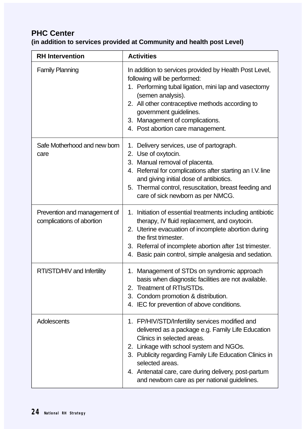# **PHC Center**

## **(in addition to services provided at Community and health post Level)**

| <b>RH</b> Intervention                                    | <b>Activities</b>                                                                                                                                                                                                                                                                                                                                                   |
|-----------------------------------------------------------|---------------------------------------------------------------------------------------------------------------------------------------------------------------------------------------------------------------------------------------------------------------------------------------------------------------------------------------------------------------------|
| <b>Family Planning</b>                                    | In addition to services provided by Health Post Level,<br>following will be performed:<br>1. Performing tubal ligation, mini lap and vasectomy<br>(semen analysis).<br>2. All other contraceptive methods according to<br>government guidelines.<br>3. Management of complications.<br>4. Post abortion care management.                                            |
| Safe Motherhood and new born<br>care                      | 1. Delivery services, use of partograph.<br>2. Use of oxytocin.<br>3. Manual removal of placenta.<br>4. Referral for complications after starting an I.V. line<br>and giving initial dose of antibiotics.<br>5. Thermal control, resuscitation, breast feeding and<br>care of sick newborn as per NMCG.                                                             |
| Prevention and management of<br>complications of abortion | 1. Initiation of essential treatments including antibiotic<br>therapy, IV fluid replacement, and oxytocin.<br>2. Uterine evacuation of incomplete abortion during<br>the first trimester.<br>3. Referral of incomplete abortion after 1st trimester.<br>4. Basic pain control, simple analgesia and sedation.                                                       |
| RTI/STD/HIV and Infertility                               | 1. Management of STDs on syndromic approach<br>basis when diagnostic facilities are not available.<br>2. Treatment of RTIs/STDs.<br>3. Condom promotion & distribution.<br>4. IEC for prevention of above conditions.                                                                                                                                               |
| Adolescents                                               | 1. FP/HIV/STD/Infertility services modified and<br>delivered as a package e.g. Family Life Education<br>Clinics in selected areas.<br>2. Linkage with school system and NGOs.<br>3. Publicity regarding Family Life Education Clinics in<br>selected areas.<br>4. Antenatal care, care during delivery, post-partum<br>and newborn care as per national guidelines. |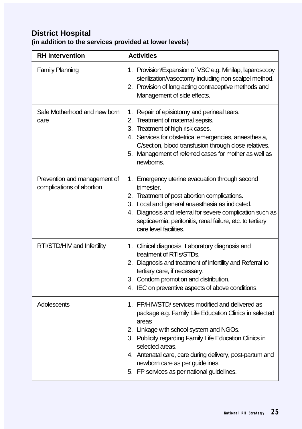# **District Hospital**

# **(in addition to the services provided at lower levels)**

| <b>RH</b> Intervention                                    | <b>Activities</b>                                                                                                                                                                                                                                                                                                                                                                          |
|-----------------------------------------------------------|--------------------------------------------------------------------------------------------------------------------------------------------------------------------------------------------------------------------------------------------------------------------------------------------------------------------------------------------------------------------------------------------|
| <b>Family Planning</b>                                    | 1. Provision/Expansion of VSC e.g. Minilap, laparoscopy<br>sterilization/vasectomy including non scalpel method.<br>2. Provision of long acting contraceptive methods and<br>Management of side effects.                                                                                                                                                                                   |
| Safe Motherhood and new born<br>care                      | 1. Repair of episiotomy and perineal tears.<br>2. Treatment of maternal sepsis.<br>3. Treatment of high risk cases.<br>4. Services for obstetrical emergencies, anaesthesia,<br>C/section, blood transfusion through close relatives.<br>5. Management of referred cases for mother as well as<br>newborns.                                                                                |
| Prevention and management of<br>complications of abortion | 1. Emergency uterine evacuation through second<br>trimester.<br>2. Treatment of post abortion complications.<br>3. Local and general anaesthesia as indicated.<br>4. Diagnosis and referral for severe complication such as<br>septicaemia, peritonitis, renal failure, etc. to tertiary<br>care level facilities.                                                                         |
| RTI/STD/HIV and Infertility                               | 1. Clinical diagnosis, Laboratory diagnosis and<br>treatment of RTIs/STDs.<br>2. Diagnosis and treatment of infertility and Referral to<br>tertiary care, if necessary.<br>3. Condom promotion and distribution.<br>4. IEC on preventive aspects of above conditions.                                                                                                                      |
| Adolescents                                               | 1. FP/HIV/STD/ services modified and delivered as<br>package e.g. Family Life Education Clinics in selected<br>areas<br>2. Linkage with school system and NGOs.<br>3. Publicity regarding Family Life Education Clinics in<br>selected areas.<br>4. Antenatal care, care during delivery, post-partum and<br>newborn care as per guidelines.<br>5. FP services as per national guidelines. |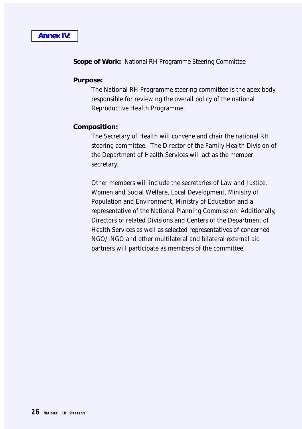#### <span id="page-30-0"></span>**Scope of Work:** National RH Programme Steering Committee

#### **Purpose:**

The National RH Programme steering committee is the apex body responsible for reviewing the overall policy of the national Reproductive Health Programme.

#### **Composition:**

The Secretary of Health will convene and chair the national RH steering committee. The Director of the Family Health Division of the Department of Health Services will act as the member secretary.

Other members will include the secretaries of Law and Justice, Women and Social Welfare, Local Development, Ministry of Population and Environment, Ministry of Education and a representative of the National Planning Commission. Additionally, Directors of related Divisions and Centers of the Department of Health Services as well as selected representatives of concerned NGO/INGO and other multilateral and bilateral external aid partners will participate as members of the committee.